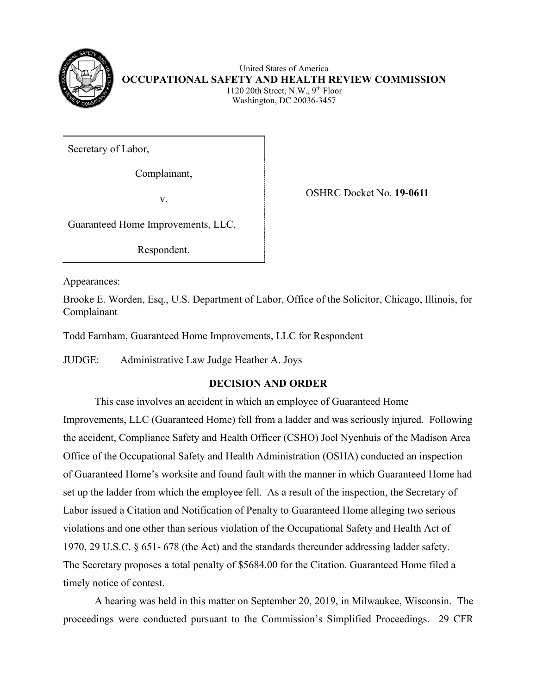

United States of America **OCCUPATIONAL SAFETY AND HEALTH REVIEW COMMISSION** 1120 20th Street, N.W.,  $9<sup>th</sup>$  Floor Washington, DC 20036-3457

Secretary of Labor,

Complainant,

v. OSHRC Docket No. **19-0611**

Guaranteed Home Improvements, LLC,

Respondent.

Appearances:

Brooke E. Worden, Esq., U.S. Department of Labor, Office of the Solicitor, Chicago, Illinois, for Complainant

Todd Farnham, Guaranteed Home Improvements, LLC for Respondent

JUDGE: Administrative Law Judge Heather A. Joys

# **DECISION AND ORDER**

This case involves an accident in which an employee of Guaranteed Home Improvements, LLC (Guaranteed Home) fell from a ladder and was seriously injured. Following the accident, Compliance Safety and Health Officer (CSHO) Joel Nyenhuis of the Madison Area Office of the Occupational Safety and Health Administration (OSHA) conducted an inspection of Guaranteed Home's worksite and found fault with the manner in which Guaranteed Home had set up the ladder from which the employee fell. As a result of the inspection, the Secretary of Labor issued a Citation and Notification of Penalty to Guaranteed Home alleging two serious violations and one other than serious violation of the Occupational Safety and Health Act of 1970, 29 U.S.C. § 651- 678 (the Act) and the standards thereunder addressing ladder safety. The Secretary proposes a total penalty of \$5684.00 for the Citation. Guaranteed Home filed a timely notice of contest.

A hearing was held in this matter on September 20, 2019, in Milwaukee, Wisconsin. The proceedings were conducted pursuant to the Commission's Simplified Proceedings. 29 CFR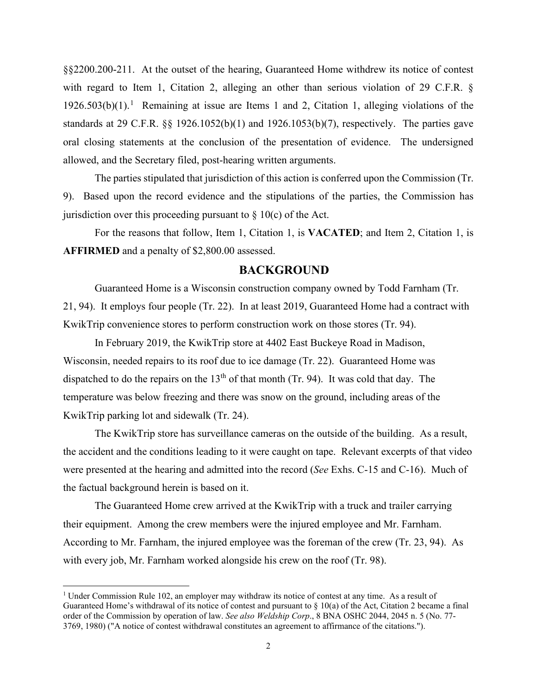§§2200.200-211. At the outset of the hearing, Guaranteed Home withdrew its notice of contest with regard to Item 1, Citation 2, alleging an other than serious violation of 29 C.F.R. §  $1926.503(b)(1).<sup>1</sup>$  $1926.503(b)(1).<sup>1</sup>$  Remaining at issue are Items 1 and 2, Citation 1, alleging violations of the standards at 29 C.F.R. §§ 1926.1052(b)(1) and 1926.1053(b)(7), respectively. The parties gave oral closing statements at the conclusion of the presentation of evidence. The undersigned allowed, and the Secretary filed, post-hearing written arguments.

The parties stipulated that jurisdiction of this action is conferred upon the Commission (Tr. 9). Based upon the record evidence and the stipulations of the parties, the Commission has jurisdiction over this proceeding pursuant to  $\S$  10(c) of the Act.

For the reasons that follow, Item 1, Citation 1, is **VACATED**; and Item 2, Citation 1, is **AFFIRMED** and a penalty of \$2,800.00 assessed.

## **BACKGROUND**

 Guaranteed Home is a Wisconsin construction company owned by Todd Farnham (Tr. 21, 94). It employs four people (Tr. 22). In at least 2019, Guaranteed Home had a contract with KwikTrip convenience stores to perform construction work on those stores (Tr. 94).

 In February 2019, the KwikTrip store at 4402 East Buckeye Road in Madison, Wisconsin, needed repairs to its roof due to ice damage (Tr. 22). Guaranteed Home was dispatched to do the repairs on the  $13<sup>th</sup>$  of that month (Tr. 94). It was cold that day. The temperature was below freezing and there was snow on the ground, including areas of the KwikTrip parking lot and sidewalk (Tr. 24).

 The KwikTrip store has surveillance cameras on the outside of the building. As a result, the accident and the conditions leading to it were caught on tape. Relevant excerpts of that video were presented at the hearing and admitted into the record (*See* Exhs. C-15 and C-16). Much of the factual background herein is based on it.

The Guaranteed Home crew arrived at the KwikTrip with a truck and trailer carrying their equipment. Among the crew members were the injured employee and Mr. Farnham. According to Mr. Farnham, the injured employee was the foreman of the crew (Tr. 23, 94). As with every job, Mr. Farnham worked alongside his crew on the roof (Tr. 98).

<span id="page-1-0"></span><sup>&</sup>lt;sup>1</sup> Under Commission Rule 102, an employer may withdraw its notice of contest at any time. As a result of Guaranteed Home's withdrawal of its notice of contest and pursuant to § 10(a) of the Act, Citation 2 became a final order of the Commission by operation of law. *See also Weldship Corp*., 8 BNA OSHC 2044, 2045 n. 5 (No. 77- 3769, 1980) ("A notice of contest withdrawal constitutes an agreement to affirmance of the citations.").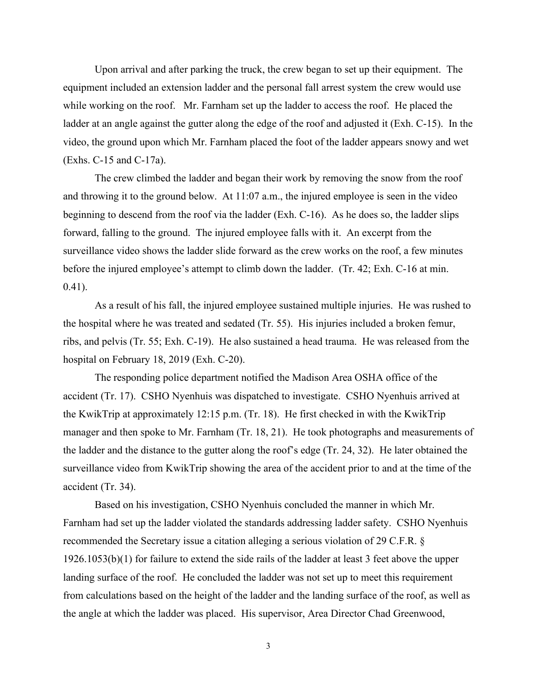Upon arrival and after parking the truck, the crew began to set up their equipment. The equipment included an extension ladder and the personal fall arrest system the crew would use while working on the roof. Mr. Farnham set up the ladder to access the roof. He placed the ladder at an angle against the gutter along the edge of the roof and adjusted it (Exh. C-15). In the video, the ground upon which Mr. Farnham placed the foot of the ladder appears snowy and wet (Exhs. C-15 and C-17a).

The crew climbed the ladder and began their work by removing the snow from the roof and throwing it to the ground below. At 11:07 a.m., the injured employee is seen in the video beginning to descend from the roof via the ladder (Exh. C-16). As he does so, the ladder slips forward, falling to the ground. The injured employee falls with it. An excerpt from the surveillance video shows the ladder slide forward as the crew works on the roof, a few minutes before the injured employee's attempt to climb down the ladder. (Tr. 42; Exh. C-16 at min. 0.41).

As a result of his fall, the injured employee sustained multiple injuries. He was rushed to the hospital where he was treated and sedated (Tr. 55). His injuries included a broken femur, ribs, and pelvis (Tr. 55; Exh. C-19). He also sustained a head trauma. He was released from the hospital on February 18, 2019 (Exh. C-20).

The responding police department notified the Madison Area OSHA office of the accident (Tr. 17). CSHO Nyenhuis was dispatched to investigate. CSHO Nyenhuis arrived at the KwikTrip at approximately 12:15 p.m. (Tr. 18). He first checked in with the KwikTrip manager and then spoke to Mr. Farnham (Tr. 18, 21). He took photographs and measurements of the ladder and the distance to the gutter along the roof's edge (Tr. 24, 32). He later obtained the surveillance video from KwikTrip showing the area of the accident prior to and at the time of the accident (Tr. 34).

Based on his investigation, CSHO Nyenhuis concluded the manner in which Mr. Farnham had set up the ladder violated the standards addressing ladder safety. CSHO Nyenhuis recommended the Secretary issue a citation alleging a serious violation of 29 C.F.R. § 1926.1053(b)(1) for failure to extend the side rails of the ladder at least 3 feet above the upper landing surface of the roof. He concluded the ladder was not set up to meet this requirement from calculations based on the height of the ladder and the landing surface of the roof, as well as the angle at which the ladder was placed. His supervisor, Area Director Chad Greenwood,

3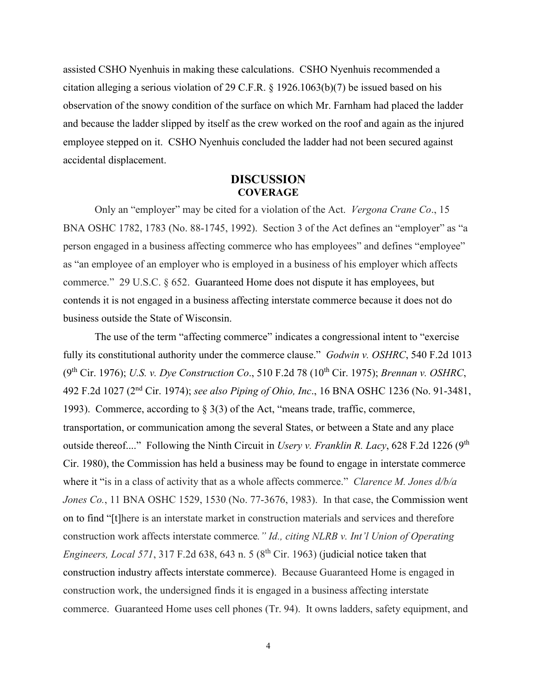assisted CSHO Nyenhuis in making these calculations. CSHO Nyenhuis recommended a citation alleging a serious violation of 29 C.F.R. § 1926.1063(b)(7) be issued based on his observation of the snowy condition of the surface on which Mr. Farnham had placed the ladder and because the ladder slipped by itself as the crew worked on the roof and again as the injured employee stepped on it. CSHO Nyenhuis concluded the ladder had not been secured against accidental displacement.

# **DISCUSSION COVERAGE**

Only an "employer" may be cited for a violation of the Act. *Vergona Crane Co*., 15 BNA OSHC 1782, 1783 (No. 88-1745, 1992). Section 3 of the Act defines an "employer" as "a person engaged in a business affecting commerce who has employees" and defines "employee" as "an employee of an employer who is employed in a business of his employer which affects commerce." 29 U.S.C. § 652. Guaranteed Home does not dispute it has employees, but contends it is not engaged in a business affecting interstate commerce because it does not do business outside the State of Wisconsin.

The use of the term "affecting commerce" indicates a congressional intent to "exercise fully its constitutional authority under the commerce clause." *Godwin v. OSHRC*, 540 F.2d 1013 (9th Cir. 1976); *U.S. v. Dye Construction Co*., 510 F.2d 78 (10th Cir. 1975); *Brennan v. OSHRC*, 492 F.2d 1027 (2nd Cir. 1974); *see also Piping of Ohio, Inc*., 16 BNA OSHC 1236 (No. 91-3481, 1993). Commerce, according to § 3(3) of the Act, "means trade, traffic, commerce, transportation, or communication among the several States, or between a State and any place outside thereof...." Following the Ninth Circuit in *Usery v. Franklin R. Lacy*, 628 F.2d 1226 (9<sup>th</sup>) Cir. 1980), the Commission has held a business may be found to engage in interstate commerce where it "is in a class of activity that as a whole affects commerce." *Clarence M. Jones d/b/a Jones Co.*, 11 BNA OSHC 1529, 1530 (No. 77-3676, 1983). In that case, the Commission went on to find "[t]here is an interstate market in construction materials and services and therefore construction work affects interstate commerce*." Id., citing NLRB v. Int'l Union of Operating Engineers, Local 571, 317 F.2d 638, 643 n. 5 (8<sup>th</sup> Cir. 1963) (judicial notice taken that* construction industry affects interstate commerce). Because Guaranteed Home is engaged in construction work, the undersigned finds it is engaged in a business affecting interstate commerce. Guaranteed Home uses cell phones (Tr. 94). It owns ladders, safety equipment, and

4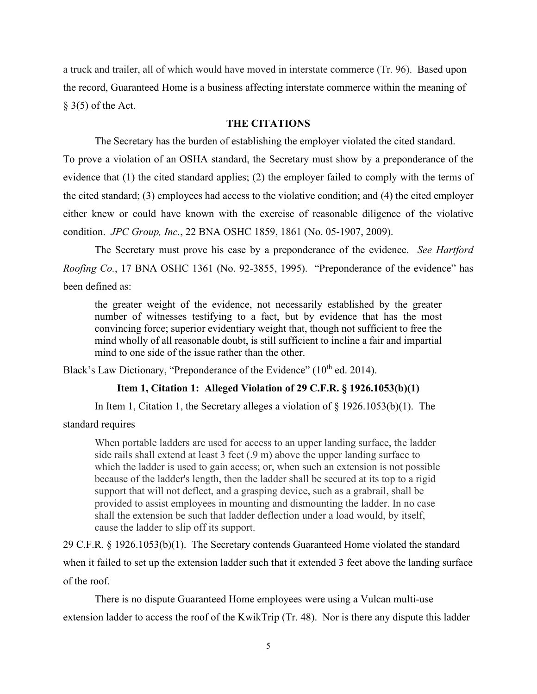a truck and trailer, all of which would have moved in interstate commerce (Tr. 96). Based upon the record, Guaranteed Home is a business affecting interstate commerce within the meaning of  $§$  3(5) of the Act.

#### **THE CITATIONS**

The Secretary has the burden of establishing the employer violated the cited standard.

To prove a violation of an OSHA standard, the Secretary must show by a preponderance of the evidence that (1) the cited standard applies; (2) the employer failed to comply with the terms of the cited standard; (3) employees had access to the violative condition; and (4) the cited employer either knew or could have known with the exercise of reasonable diligence of the violative condition. *JPC Group, Inc.*, 22 BNA OSHC 1859, 1861 (No. 05-1907, 2009).

The Secretary must prove his case by a preponderance of the evidence. *See Hartford Roofing Co.*, 17 BNA OSHC 1361 (No. 92-3855, 1995). "Preponderance of the evidence" has been defined as:

the greater weight of the evidence, not necessarily established by the greater number of witnesses testifying to a fact, but by evidence that has the most convincing force; superior evidentiary weight that, though not sufficient to free the mind wholly of all reasonable doubt, is still sufficient to incline a fair and impartial mind to one side of the issue rather than the other.

Black's Law Dictionary, "Preponderance of the Evidence" (10<sup>th</sup> ed. 2014).

## **Item 1, Citation 1: Alleged Violation of 29 C.F.R. § 1926.1053(b)(1)**

In Item 1, Citation 1, the Secretary alleges a violation of  $\S$  1926.1053(b)(1). The

standard requires

When portable ladders are used for access to an upper landing surface, the ladder side rails shall extend at least 3 feet (.9 m) above the upper landing surface to which the ladder is used to gain access; or, when such an extension is not possible because of the ladder's length, then the ladder shall be secured at its top to a rigid support that will not deflect, and a grasping device, such as a grabrail, shall be provided to assist employees in mounting and dismounting the ladder. In no case shall the extension be such that ladder deflection under a load would, by itself, cause the ladder to slip off its support.

29 C.F.R. § 1926.1053(b)(1). The Secretary contends Guaranteed Home violated the standard when it failed to set up the extension ladder such that it extended 3 feet above the landing surface of the roof.

 There is no dispute Guaranteed Home employees were using a Vulcan multi-use extension ladder to access the roof of the KwikTrip (Tr. 48). Nor is there any dispute this ladder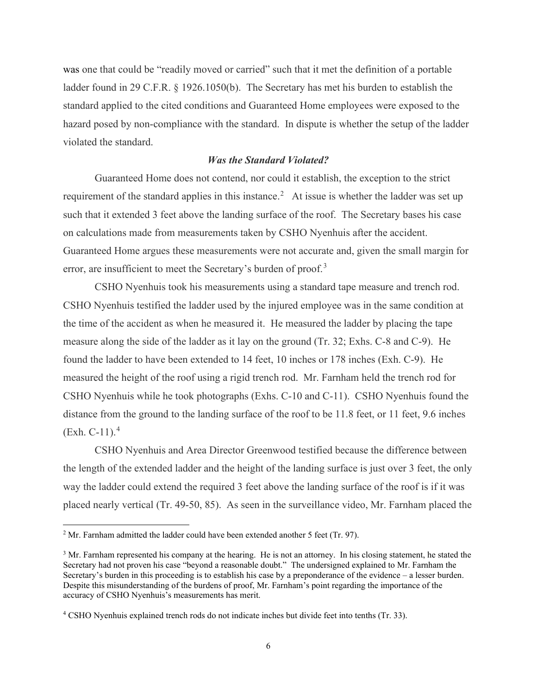was one that could be "readily moved or carried" such that it met the definition of a portable ladder found in 29 C.F.R. § 1926.1050(b). The Secretary has met his burden to establish the standard applied to the cited conditions and Guaranteed Home employees were exposed to the hazard posed by non-compliance with the standard. In dispute is whether the setup of the ladder violated the standard.

#### *Was the Standard Violated?*

Guaranteed Home does not contend, nor could it establish, the exception to the strict requirement of the standard applies in this instance.<sup>[2](#page-5-0)</sup> At issue is whether the ladder was set up such that it extended 3 feet above the landing surface of the roof. The Secretary bases his case on calculations made from measurements taken by CSHO Nyenhuis after the accident. Guaranteed Home argues these measurements were not accurate and, given the small margin for error, are insufficient to meet the Secretary's burden of proof.<sup>[3](#page-5-1)</sup>

CSHO Nyenhuis took his measurements using a standard tape measure and trench rod. CSHO Nyenhuis testified the ladder used by the injured employee was in the same condition at the time of the accident as when he measured it. He measured the ladder by placing the tape measure along the side of the ladder as it lay on the ground (Tr. 32; Exhs. C-8 and C-9). He found the ladder to have been extended to 14 feet, 10 inches or 178 inches (Exh. C-9). He measured the height of the roof using a rigid trench rod. Mr. Farnham held the trench rod for CSHO Nyenhuis while he took photographs (Exhs. C-10 and C-11). CSHO Nyenhuis found the distance from the ground to the landing surface of the roof to be 11.8 feet, or 11 feet, 9.6 inches  $(Exh. C-11).<sup>4</sup>$  $(Exh. C-11).<sup>4</sup>$  $(Exh. C-11).<sup>4</sup>$ 

CSHO Nyenhuis and Area Director Greenwood testified because the difference between the length of the extended ladder and the height of the landing surface is just over 3 feet, the only way the ladder could extend the required 3 feet above the landing surface of the roof is if it was placed nearly vertical (Tr. 49-50, 85). As seen in the surveillance video, Mr. Farnham placed the

<span id="page-5-0"></span> $2$  Mr. Farnham admitted the ladder could have been extended another 5 feet (Tr. 97).

<span id="page-5-1"></span><sup>&</sup>lt;sup>3</sup> Mr. Farnham represented his company at the hearing. He is not an attorney. In his closing statement, he stated the Secretary had not proven his case "beyond a reasonable doubt." The undersigned explained to Mr. Farnham the Secretary's burden in this proceeding is to establish his case by a preponderance of the evidence – a lesser burden. Despite this misunderstanding of the burdens of proof, Mr. Farnham's point regarding the importance of the accuracy of CSHO Nyenhuis's measurements has merit.

<span id="page-5-2"></span><sup>4</sup> CSHO Nyenhuis explained trench rods do not indicate inches but divide feet into tenths (Tr. 33).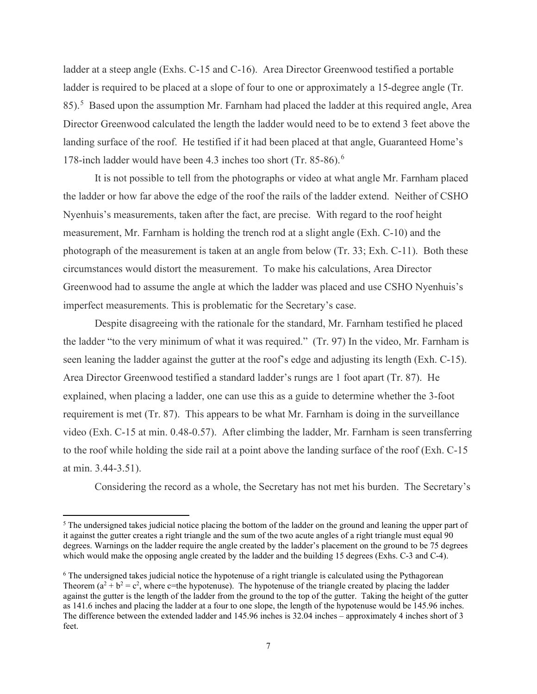ladder at a steep angle (Exhs. C-15 and C-16). Area Director Greenwood testified a portable ladder is required to be placed at a slope of four to one or approximately a 15-degree angle (Tr. 8[5](#page-6-0)).<sup>5</sup> Based upon the assumption Mr. Farnham had placed the ladder at this required angle, Area Director Greenwood calculated the length the ladder would need to be to extend 3 feet above the landing surface of the roof. He testified if it had been placed at that angle, Guaranteed Home's 178-inch ladder would have been 4.3 inches too short (Tr. 85-8[6](#page-6-1)).<sup>6</sup>

It is not possible to tell from the photographs or video at what angle Mr. Farnham placed the ladder or how far above the edge of the roof the rails of the ladder extend. Neither of CSHO Nyenhuis's measurements, taken after the fact, are precise. With regard to the roof height measurement, Mr. Farnham is holding the trench rod at a slight angle (Exh. C-10) and the photograph of the measurement is taken at an angle from below (Tr. 33; Exh. C-11). Both these circumstances would distort the measurement. To make his calculations, Area Director Greenwood had to assume the angle at which the ladder was placed and use CSHO Nyenhuis's imperfect measurements. This is problematic for the Secretary's case.

Despite disagreeing with the rationale for the standard, Mr. Farnham testified he placed the ladder "to the very minimum of what it was required." (Tr. 97) In the video, Mr. Farnham is seen leaning the ladder against the gutter at the roof's edge and adjusting its length (Exh. C-15). Area Director Greenwood testified a standard ladder's rungs are 1 foot apart (Tr. 87). He explained, when placing a ladder, one can use this as a guide to determine whether the 3-foot requirement is met (Tr. 87). This appears to be what Mr. Farnham is doing in the surveillance video (Exh. C-15 at min. 0.48-0.57). After climbing the ladder, Mr. Farnham is seen transferring to the roof while holding the side rail at a point above the landing surface of the roof (Exh. C-15 at min. 3.44-3.51).

Considering the record as a whole, the Secretary has not met his burden. The Secretary's

<span id="page-6-0"></span> $<sup>5</sup>$  The undersigned takes judicial notice placing the bottom of the ladder on the ground and leaning the upper part of</sup> it against the gutter creates a right triangle and the sum of the two acute angles of a right triangle must equal 90 degrees. Warnings on the ladder require the angle created by the ladder's placement on the ground to be 75 degrees which would make the opposing angle created by the ladder and the building 15 degrees (Exhs. C-3 and C-4).

<span id="page-6-1"></span><sup>6</sup> The undersigned takes judicial notice the hypotenuse of a right triangle is calculated using the Pythagorean Theorem  $(a^2 + b^2 = c^2$ , where c=the hypotenuse). The hypotenuse of the triangle created by placing the ladder against the gutter is the length of the ladder from the ground to the top of the gutter. Taking the height of the gutter as 141.6 inches and placing the ladder at a four to one slope, the length of the hypotenuse would be 145.96 inches. The difference between the extended ladder and 145.96 inches is 32.04 inches – approximately 4 inches short of 3 feet.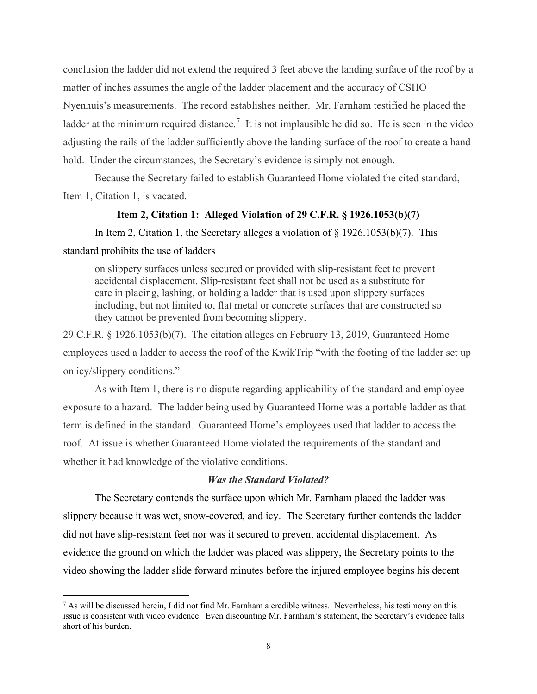conclusion the ladder did not extend the required 3 feet above the landing surface of the roof by a matter of inches assumes the angle of the ladder placement and the accuracy of CSHO Nyenhuis's measurements. The record establishes neither. Mr. Farnham testified he placed the ladder at the minimum required distance.<sup>[7](#page-7-0)</sup> It is not implausible he did so. He is seen in the video adjusting the rails of the ladder sufficiently above the landing surface of the roof to create a hand hold. Under the circumstances, the Secretary's evidence is simply not enough.

Because the Secretary failed to establish Guaranteed Home violated the cited standard, Item 1, Citation 1, is vacated.

## **Item 2, Citation 1: Alleged Violation of 29 C.F.R. § 1926.1053(b)(7)**

In Item 2, Citation 1, the Secretary alleges a violation of § 1926.1053(b)(7). This

standard prohibits the use of ladders

on slippery surfaces unless secured or provided with slip-resistant feet to prevent accidental displacement. Slip-resistant feet shall not be used as a substitute for care in placing, lashing, or holding a ladder that is used upon slippery surfaces including, but not limited to, flat metal or concrete surfaces that are constructed so they cannot be prevented from becoming slippery.

29 C.F.R. § 1926.1053(b)(7). The citation alleges on February 13, 2019, Guaranteed Home employees used a ladder to access the roof of the KwikTrip "with the footing of the ladder set up on icy/slippery conditions."

 As with Item 1, there is no dispute regarding applicability of the standard and employee exposure to a hazard. The ladder being used by Guaranteed Home was a portable ladder as that term is defined in the standard. Guaranteed Home's employees used that ladder to access the roof. At issue is whether Guaranteed Home violated the requirements of the standard and whether it had knowledge of the violative conditions.

#### *Was the Standard Violated?*

 The Secretary contends the surface upon which Mr. Farnham placed the ladder was slippery because it was wet, snow-covered, and icy. The Secretary further contends the ladder did not have slip-resistant feet nor was it secured to prevent accidental displacement. As evidence the ground on which the ladder was placed was slippery, the Secretary points to the video showing the ladder slide forward minutes before the injured employee begins his decent

<span id="page-7-0"></span> $^7$  As will be discussed herein, I did not find Mr. Farnham a credible witness. Nevertheless, his testimony on this issue is consistent with video evidence. Even discounting Mr. Farnham's statement, the Secretary's evidence falls short of his burden.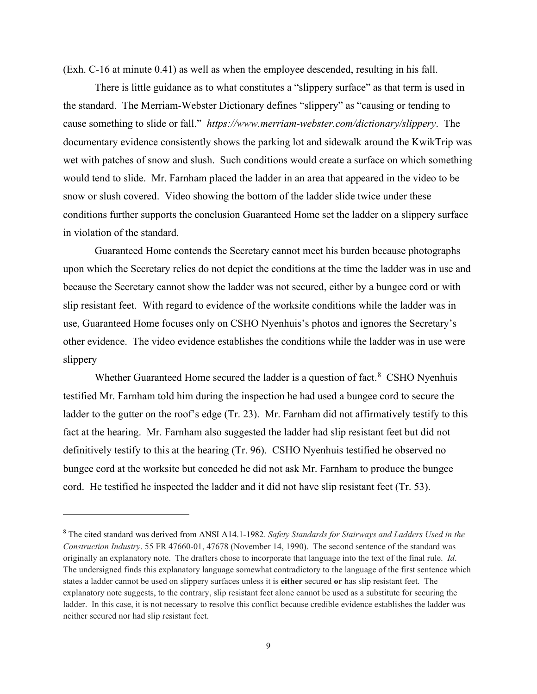(Exh. C-16 at minute 0.41) as well as when the employee descended, resulting in his fall.

There is little guidance as to what constitutes a "slippery surface" as that term is used in the standard. The Merriam-Webster Dictionary defines "slippery" as "causing or tending to cause something to slide or fall." *<https://www.merriam-webster.com/dictionary/slippery>*. The documentary evidence consistently shows the parking lot and sidewalk around the KwikTrip was wet with patches of snow and slush. Such conditions would create a surface on which something would tend to slide. Mr. Farnham placed the ladder in an area that appeared in the video to be snow or slush covered. Video showing the bottom of the ladder slide twice under these conditions further supports the conclusion Guaranteed Home set the ladder on a slippery surface in violation of the standard.

 Guaranteed Home contends the Secretary cannot meet his burden because photographs upon which the Secretary relies do not depict the conditions at the time the ladder was in use and because the Secretary cannot show the ladder was not secured, either by a bungee cord or with slip resistant feet. With regard to evidence of the worksite conditions while the ladder was in use, Guaranteed Home focuses only on CSHO Nyenhuis's photos and ignores the Secretary's other evidence. The video evidence establishes the conditions while the ladder was in use were slippery

Whether Guaranteed Home secured the ladder is a question of fact.<sup>[8](#page-8-0)</sup> CSHO Nyenhuis testified Mr. Farnham told him during the inspection he had used a bungee cord to secure the ladder to the gutter on the roof's edge (Tr. 23). Mr. Farnham did not affirmatively testify to this fact at the hearing. Mr. Farnham also suggested the ladder had slip resistant feet but did not definitively testify to this at the hearing (Tr. 96). CSHO Nyenhuis testified he observed no bungee cord at the worksite but conceded he did not ask Mr. Farnham to produce the bungee cord. He testified he inspected the ladder and it did not have slip resistant feet (Tr. 53).

<span id="page-8-0"></span><sup>8</sup> The cited standard was derived from ANSI A14.1-1982. *Safety Standards for Stairways and Ladders Used in the Construction Industry*. 55 FR 47660-01, 47678 (November 14, 1990). The second sentence of the standard was originally an explanatory note. The drafters chose to incorporate that language into the text of the final rule. *Id*. The undersigned finds this explanatory language somewhat contradictory to the language of the first sentence which states a ladder cannot be used on slippery surfaces unless it is **either** secured **or** has slip resistant feet. The explanatory note suggests, to the contrary, slip resistant feet alone cannot be used as a substitute for securing the ladder. In this case, it is not necessary to resolve this conflict because credible evidence establishes the ladder was neither secured nor had slip resistant feet.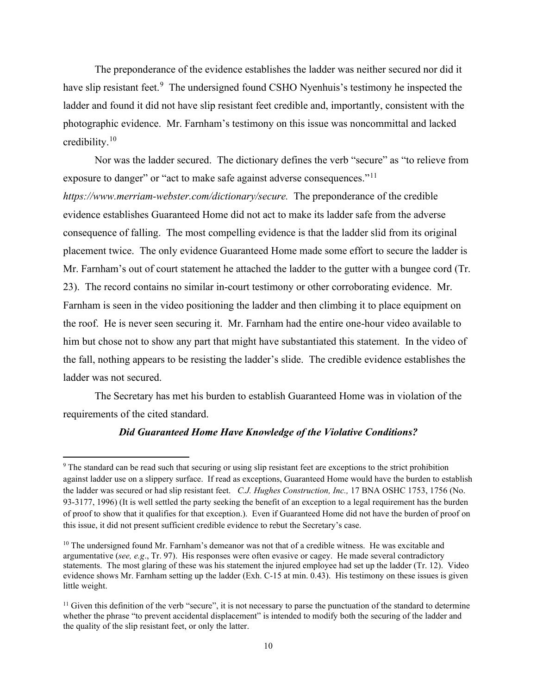The preponderance of the evidence establishes the ladder was neither secured nor did it have slip resistant feet.<sup>[9](#page-9-0)</sup> The undersigned found CSHO Nyenhuis's testimony he inspected the ladder and found it did not have slip resistant feet credible and, importantly, consistent with the photographic evidence. Mr. Farnham's testimony on this issue was noncommittal and lacked credibility.[10](#page-9-1) 

Nor was the ladder secured. The dictionary defines the verb "secure" as "to relieve from exposure to danger" or "act to make safe against adverse consequences."<sup>[11](#page-9-2)</sup>

*[https://www.merriam-webster.com/dictionary/secure.](https://www.merriam-webster.com/dictionary/secure)* The preponderance of the credible evidence establishes Guaranteed Home did not act to make its ladder safe from the adverse consequence of falling. The most compelling evidence is that the ladder slid from its original placement twice. The only evidence Guaranteed Home made some effort to secure the ladder is Mr. Farnham's out of court statement he attached the ladder to the gutter with a bungee cord (Tr. 23). The record contains no similar in-court testimony or other corroborating evidence. Mr. Farnham is seen in the video positioning the ladder and then climbing it to place equipment on the roof. He is never seen securing it. Mr. Farnham had the entire one-hour video available to him but chose not to show any part that might have substantiated this statement. In the video of the fall, nothing appears to be resisting the ladder's slide. The credible evidence establishes the ladder was not secured.

The Secretary has met his burden to establish Guaranteed Home was in violation of the requirements of the cited standard.

#### *Did Guaranteed Home Have Knowledge of the Violative Conditions?*

<span id="page-9-0"></span><sup>&</sup>lt;sup>9</sup> The standard can be read such that securing or using slip resistant feet are exceptions to the strict prohibition against ladder use on a slippery surface. If read as exceptions, Guaranteed Home would have the burden to establish the ladder was secured or had slip resistant feet. *C.J. Hughes Construction, Inc.,* 17 BNA OSHC 1753, 1756 (No. 93-3177, 1996) (It is well settled the party seeking the benefit of an exception to a legal requirement has the burden of proof to show that it qualifies for that exception.). Even if Guaranteed Home did not have the burden of proof on this issue, it did not present sufficient credible evidence to rebut the Secretary's case.

<span id="page-9-1"></span> $10$  The undersigned found Mr. Farnham's demeanor was not that of a credible witness. He was excitable and argumentative (*see, e.g*., Tr. 97). His responses were often evasive or cagey. He made several contradictory statements. The most glaring of these was his statement the injured employee had set up the ladder (Tr. 12). Video evidence shows Mr. Farnham setting up the ladder (Exh. C-15 at min. 0.43). His testimony on these issues is given little weight.

<span id="page-9-2"></span> $<sup>11</sup>$  Given this definition of the verb "secure", it is not necessary to parse the punctuation of the standard to determine</sup> whether the phrase "to prevent accidental displacement" is intended to modify both the securing of the ladder and the quality of the slip resistant feet, or only the latter.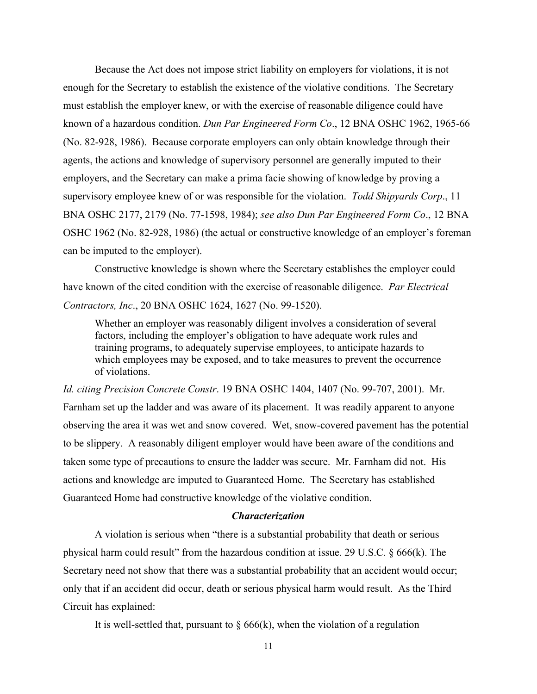Because the Act does not impose strict liability on employers for violations, it is not enough for the Secretary to establish the existence of the violative conditions. The Secretary must establish the employer knew, or with the exercise of reasonable diligence could have known of a hazardous condition. *Dun Par Engineered Form Co*., 12 BNA OSHC 1962, 1965-66 (No. 82-928, 1986). Because corporate employers can only obtain knowledge through their agents, the actions and knowledge of supervisory personnel are generally imputed to their employers, and the Secretary can make a prima facie showing of knowledge by proving a supervisory employee knew of or was responsible for the violation. *Todd Shipyards Corp*., 11 BNA OSHC 2177, 2179 (No. 77-1598, 1984); *see also Dun Par Engineered Form Co*., 12 BNA OSHC 1962 (No. 82-928, 1986) (the actual or constructive knowledge of an employer's foreman can be imputed to the employer).

 Constructive knowledge is shown where the Secretary establishes the employer could have known of the cited condition with the exercise of reasonable diligence. *Par Electrical Contractors, Inc*., 20 BNA OSHC 1624, 1627 (No. 99-1520).

Whether an employer was reasonably diligent involves a consideration of several factors, including the employer's obligation to have adequate work rules and training programs, to adequately supervise employees, to anticipate hazards to which employees may be exposed, and to take measures to prevent the occurrence of violations.

*Id. citing Precision Concrete Constr*. 19 BNA OSHC 1404, 1407 (No. 99-707, 2001). Mr. Farnham set up the ladder and was aware of its placement. It was readily apparent to anyone observing the area it was wet and snow covered. Wet, snow-covered pavement has the potential to be slippery. A reasonably diligent employer would have been aware of the conditions and taken some type of precautions to ensure the ladder was secure. Mr. Farnham did not. His actions and knowledge are imputed to Guaranteed Home. The Secretary has established Guaranteed Home had constructive knowledge of the violative condition.

### *Characterization*

A violation is serious when "there is a substantial probability that death or serious physical harm could result" from the hazardous condition at issue. [29 U.S.C. § 666\(k\).](https://a.next.westlaw.com/Link/Document/FullText?findType=L&pubNum=1000546&cite=29USCAS666&originatingDoc=I506d03ad178f11e2b60bb297d3d07bc5&refType=RB&originationContext=document&transitionType=DocumentItem&contextData=(sc.Search)#co_pp_340a00009b6f3) The Secretary need not show that there was a substantial probability that an accident would occur; only that if an accident did occur, death or serious physical harm would result. As the Third Circuit has explained:

It is well-settled that, pursuant to  $\S 666(k)$ , when the violation of a regulation

11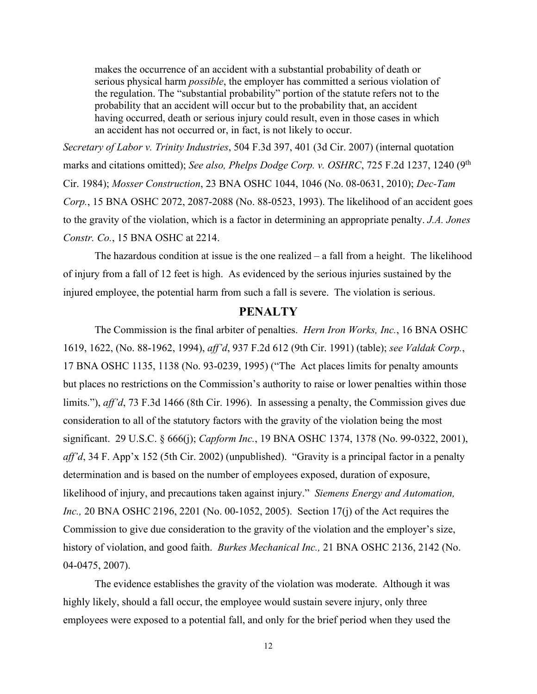makes the occurrence of an accident with a substantial probability of death or serious physical harm *possible*, the employer has committed a serious violation of the regulation. The "substantial probability" portion of the statute refers not to the probability that an accident will occur but to the probability that, an accident having occurred, death or serious injury could result, even in those cases in which an accident has not occurred or, in fact, is not likely to occur.

*[Secretary of Labor v. Trinity Industries](https://a.next.westlaw.com/Link/Document/FullText?findType=Y&serNum=2013096350&pubNum=506&originatingDoc=I506d03ad178f11e2b60bb297d3d07bc5&refType=RP&fi=co_pp_sp_506_401&originationContext=document&transitionType=DocumentItem&contextData=(sc.Search)#co_pp_sp_506_401)*, 504 F.3d 397, 401 (3d Cir. 2007) (internal quotation marks and citations omitted); *See also, [Phelps Dodge Corp. v. OSHRC](https://a.next.westlaw.com/Link/Document/FullText?findType=Y&serNum=1984108374&pubNum=350&originatingDoc=I506d03ad178f11e2b60bb297d3d07bc5&refType=RP&fi=co_pp_sp_350_1240&originationContext=document&transitionType=DocumentItem&contextData=(sc.Search)#co_pp_sp_350_1240)*, 725 F.2d 1237, 1240 (9<sup>th</sup> [Cir. 1984\);](https://a.next.westlaw.com/Link/Document/FullText?findType=Y&serNum=1984108374&pubNum=350&originatingDoc=I506d03ad178f11e2b60bb297d3d07bc5&refType=RP&fi=co_pp_sp_350_1240&originationContext=document&transitionType=DocumentItem&contextData=(sc.Search)#co_pp_sp_350_1240) *Mosser Construction*[, 23 BNA OSHC 1044, 1046 \(No. 08-0631, 2010\);](https://a.next.westlaw.com/Link/Document/FullText?findType=Y&serNum=2021461301&pubNum=0003227&originatingDoc=I506d03ad178f11e2b60bb297d3d07bc5&refType=CA&fi=co_pp_sp_3227_1046&originationContext=document&transitionType=DocumentItem&contextData=(sc.Search)#co_pp_sp_3227_1046) *[Dec-Tam](https://a.next.westlaw.com/Link/Document/FullText?findType=Y&serNum=1993474368&pubNum=0003227&originatingDoc=I506d03ad178f11e2b60bb297d3d07bc5&refType=CA&fi=co_pp_sp_3227_2087&originationContext=document&transitionType=DocumentItem&contextData=(sc.Search)#co_pp_sp_3227_2087)  Corp.*[, 15 BNA OSHC 2072, 2087-2088 \(No. 88-0523, 1993\).](https://a.next.westlaw.com/Link/Document/FullText?findType=Y&serNum=1993474368&pubNum=0003227&originatingDoc=I506d03ad178f11e2b60bb297d3d07bc5&refType=CA&fi=co_pp_sp_3227_2087&originationContext=document&transitionType=DocumentItem&contextData=(sc.Search)#co_pp_sp_3227_2087) The likelihood of an accident goes to the gravity of the violation, which is a factor in determining an appropriate penalty. *[J.A. Jones](https://a.next.westlaw.com/Link/Document/FullText?findType=Y&serNum=1993474385&pubNum=0003227&originatingDoc=I506d03ad178f11e2b60bb297d3d07bc5&refType=CA&fi=co_pp_sp_3227_2214&originationContext=document&transitionType=DocumentItem&contextData=(sc.Search)#co_pp_sp_3227_2214)  Constr. Co.*[, 15 BNA OSHC at 2214.](https://a.next.westlaw.com/Link/Document/FullText?findType=Y&serNum=1993474385&pubNum=0003227&originatingDoc=I506d03ad178f11e2b60bb297d3d07bc5&refType=CA&fi=co_pp_sp_3227_2214&originationContext=document&transitionType=DocumentItem&contextData=(sc.Search)#co_pp_sp_3227_2214)

 The hazardous condition at issue is the one realized – a fall from a height. The likelihood of injury from a fall of 12 feet is high. As evidenced by the serious injuries sustained by the injured employee, the potential harm from such a fall is severe. The violation is serious.

# **PENALTY**

The Commission is the final arbiter of penalties. *Hern Iron Works, Inc.*, 16 BNA OSHC 1619, 1622, (No. 88-1962, 1994), *aff'd*, 937 F.2d 612 (9th Cir. 1991) (table); *see Valdak Corp.*, 17 BNA OSHC 1135, 1138 (No. 93-0239, 1995) ("The Act places limits for penalty amounts but places no restrictions on the Commission's authority to raise or lower penalties within those limits."), *aff'd*, 73 F.3d 1466 (8th Cir. 1996). In assessing a penalty, the Commission gives due consideration to all of the statutory factors with the gravity of the violation being the most significant. 29 U.S.C. § 666(j); *Capform Inc.*, 19 BNA OSHC 1374, 1378 (No. 99-0322, 2001), *aff'd*, 34 F. App'x 152 (5th Cir. 2002) (unpublished). "Gravity is a principal factor in a penalty determination and is based on the number of employees exposed, duration of exposure, likelihood of injury, and precautions taken against injury." *Siemens Energy and Automation, Inc.*, 20 BNA OSHC 2196, 2201 (No. 00-1052, 2005). Section 17(j) of the Act requires the Commission to give due consideration to the gravity of the violation and the employer's size, history of violation, and good faith. *Burkes Mechanical Inc.,* 21 BNA OSHC 2136, 2142 (No. 04-0475, 2007).

The evidence establishes the gravity of the violation was moderate. Although it was highly likely, should a fall occur, the employee would sustain severe injury, only three employees were exposed to a potential fall, and only for the brief period when they used the